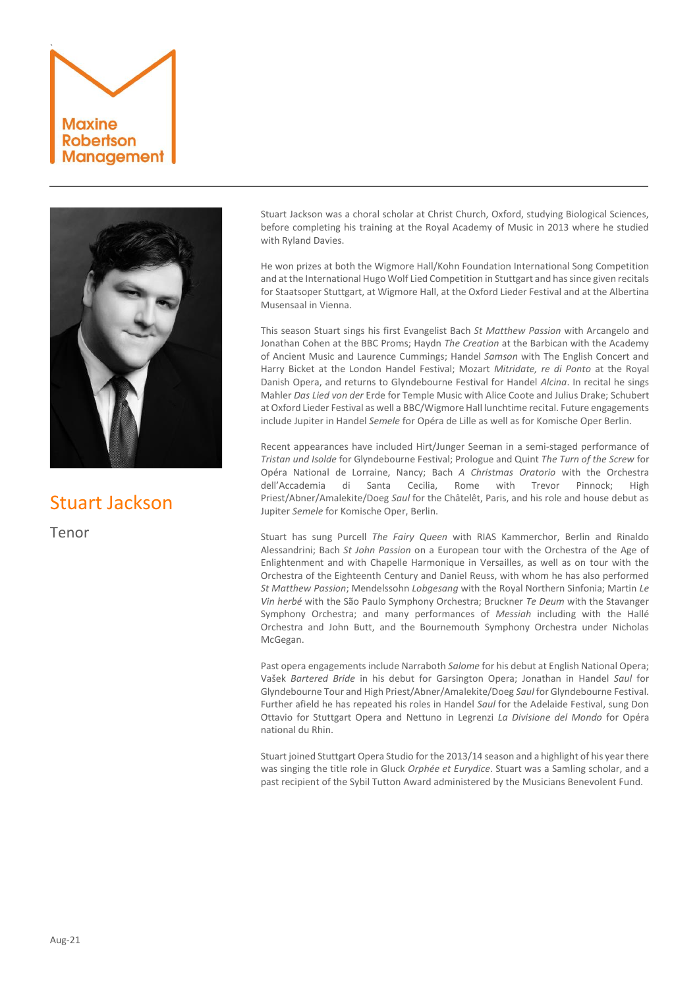



## Stuart Jackson

Tenor

Stuart Jackson was a choral scholar at Christ Church, Oxford, studying Biological Sciences, before completing his training at the Royal Academy of Music in 2013 where he studied with Ryland Davies.

He won prizes at both the Wigmore Hall/Kohn Foundation International Song Competition and at the International Hugo Wolf Lied Competition in Stuttgart and has since given recitals for Staatsoper Stuttgart, at Wigmore Hall, at the Oxford Lieder Festival and at the Albertina Musensaal in Vienna.

This season Stuart sings his first Evangelist Bach *St Matthew Passion* with Arcangelo and Jonathan Cohen at the BBC Proms; Haydn *The Creation* at the Barbican with the Academy of Ancient Music and Laurence Cummings; Handel *Samson* with The English Concert and Harry Bicket at the London Handel Festival; Mozart *Mitridate, re di Ponto* at the Royal Danish Opera, and returns to Glyndebourne Festival for Handel *Alcina*. In recital he sings Mahler *Das Lied von der* Erde for Temple Music with Alice Coote and Julius Drake; Schubert at Oxford Lieder Festival as well a BBC/Wigmore Hall lunchtime recital. Future engagements include Jupiter in Handel *Semele* for Opéra de Lille as well as for Komische Oper Berlin.

Recent appearances have included Hirt/Junger Seeman in a semi-staged performance of *Tristan und Isolde* for Glyndebourne Festival; Prologue and Quint *The Turn of the Screw* for Opéra National de Lorraine, Nancy; Bach *A Christmas Oratorio* with the Orchestra dell'Accademia di Santa Cecilia, Rome with Trevor Pinnock; High Priest/Abner/Amalekite/Doeg *Saul* for the Châtelêt, Paris, and his role and house debut as Jupiter *Semele* for Komische Oper, Berlin.

Stuart has sung Purcell *The Fairy Queen* with RIAS Kammerchor, Berlin and Rinaldo Alessandrini; Bach *St John Passion* on a European tour with the Orchestra of the Age of Enlightenment and with Chapelle Harmonique in Versailles, as well as on tour with the Orchestra of the Eighteenth Century and Daniel Reuss, with whom he has also performed *St Matthew Passion*; Mendelssohn *Lobgesang* with the Royal Northern Sinfonia; Martin *Le Vin herbé* with the São Paulo Symphony Orchestra; Bruckner *Te Deum* with the Stavanger Symphony Orchestra; and many performances of *Messiah* including with the Hallé Orchestra and John Butt, and the Bournemouth Symphony Orchestra under Nicholas McGegan.

Past opera engagements include Narraboth *Salome* for his debut at English National Opera; Vašek *Bartered Bride* in his debut for Garsington Opera; Jonathan in Handel *Saul* for Glyndebourne Tour and High Priest/Abner/Amalekite/Doeg *Saul* for Glyndebourne Festival. Further afield he has repeated his roles in Handel *Saul* for the Adelaide Festival, sung Don Ottavio for Stuttgart Opera and Nettuno in Legrenzi *La Divisione del Mondo* for Opéra national du Rhin.

Stuart joined Stuttgart Opera Studio for the 2013/14 season and a highlight of his year there was singing the title role in Gluck *Orphée et Eurydice*. Stuart was a Samling scholar, and a past recipient of the Sybil Tutton Award administered by the Musicians Benevolent Fund.